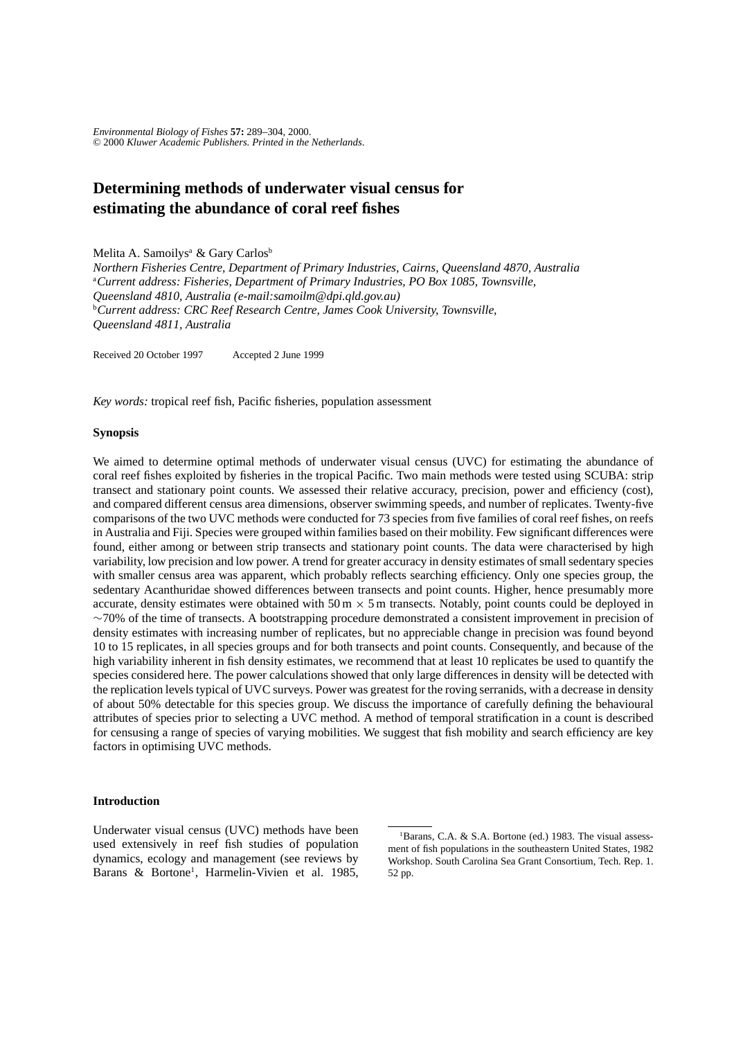*Environmental Biology of Fishes* **57:** 289–304, 2000. © 2000 *Kluwer Academic Publishers. Printed in the Netherlands*.

# **Determining methods of underwater visual census for estimating the abundance of coral reef fishes**

Melita A. Samoilys<sup>a</sup> & Gary Carlos<sup>b</sup>

*Northern Fisheries Centre, Department of Primary Industries, Cairns, Queensland 4870, Australia* a *Current address: Fisheries, Department of Primary Industries, PO Box 1085, Townsville, Queensland 4810, Australia (e-mail:samoilm@dpi.qld.gov.au)* b *Current address: CRC Reef Research Centre, James Cook University, Townsville, Queensland 4811, Australia*

Received 20 October 1997 Accepted 2 June 1999

*Key words:* tropical reef fish, Pacific fisheries, population assessment

#### **Synopsis**

We aimed to determine optimal methods of underwater visual census (UVC) for estimating the abundance of coral reef fishes exploited by fisheries in the tropical Pacific. Two main methods were tested using SCUBA: strip transect and stationary point counts. We assessed their relative accuracy, precision, power and efficiency (cost), and compared different census area dimensions, observer swimming speeds, and number of replicates. Twenty-five comparisons of the two UVC methods were conducted for 73 species from five families of coral reef fishes, on reefs in Australia and Fiji. Species were grouped within families based on their mobility. Few significant differences were found, either among or between strip transects and stationary point counts. The data were characterised by high variability, low precision and low power. A trend for greater accuracy in density estimates of small sedentary species with smaller census area was apparent, which probably reflects searching efficiency. Only one species group, the sedentary Acanthuridae showed differences between transects and point counts. Higher, hence presumably more accurate, density estimates were obtained with  $50 \text{ m} \times 5 \text{ m}$  transects. Notably, point counts could be deployed in ∼70% of the time of transects. A bootstrapping procedure demonstrated a consistent improvement in precision of density estimates with increasing number of replicates, but no appreciable change in precision was found beyond 10 to 15 replicates, in all species groups and for both transects and point counts. Consequently, and because of the high variability inherent in fish density estimates, we recommend that at least 10 replicates be used to quantify the species considered here. The power calculations showed that only large differences in density will be detected with the replication levels typical of UVC surveys. Power was greatest for the roving serranids, with a decrease in density of about 50% detectable for this species group. We discuss the importance of carefully defining the behavioural attributes of species prior to selecting a UVC method. A method of temporal stratification in a count is described for censusing a range of species of varying mobilities. We suggest that fish mobility and search efficiency are key factors in optimising UVC methods.

## **Introduction**

Underwater visual census (UVC) methods have been used extensively in reef fish studies of population dynamics, ecology and management (see reviews by Barans & Bortone<sup>1</sup>, Harmelin-Vivien et al. 1985,

<sup>&</sup>lt;sup>1</sup>Barans, C.A. & S.A. Bortone (ed.) 1983. The visual assessment of fish populations in the southeastern United States, 1982 Workshop. South Carolina Sea Grant Consortium, Tech. Rep. 1. 52 pp.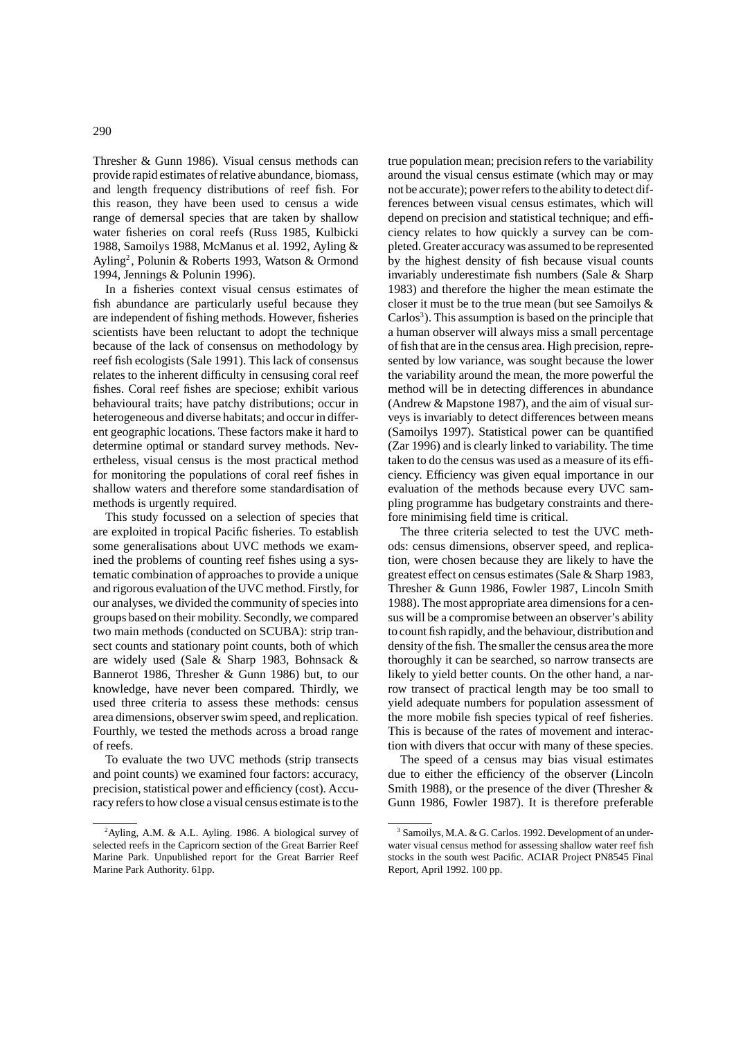Thresher & Gunn 1986). Visual census methods can provide rapid estimates of relative abundance, biomass, and length frequency distributions of reef fish. For this reason, they have been used to census a wide range of demersal species that are taken by shallow water fisheries on coral reefs (Russ 1985, Kulbicki 1988, Samoilys 1988, McManus et al. 1992, Ayling & Ayling2 , Polunin & Roberts 1993, Watson & Ormond 1994, Jennings & Polunin 1996).

In a fisheries context visual census estimates of fish abundance are particularly useful because they are independent of fishing methods. However, fisheries scientists have been reluctant to adopt the technique because of the lack of consensus on methodology by reef fish ecologists (Sale 1991). This lack of consensus relates to the inherent difficulty in censusing coral reef fishes. Coral reef fishes are speciose; exhibit various behavioural traits; have patchy distributions; occur in heterogeneous and diverse habitats; and occur in different geographic locations. These factors make it hard to determine optimal or standard survey methods. Nevertheless, visual census is the most practical method for monitoring the populations of coral reef fishes in shallow waters and therefore some standardisation of methods is urgently required.

This study focussed on a selection of species that are exploited in tropical Pacific fisheries. To establish some generalisations about UVC methods we examined the problems of counting reef fishes using a systematic combination of approaches to provide a unique and rigorous evaluation of the UVC method. Firstly, for our analyses, we divided the community of species into groups based on their mobility. Secondly, we compared two main methods (conducted on SCUBA): strip transect counts and stationary point counts, both of which are widely used (Sale & Sharp 1983, Bohnsack & Bannerot 1986, Thresher & Gunn 1986) but, to our knowledge, have never been compared. Thirdly, we used three criteria to assess these methods: census area dimensions, observer swim speed, and replication. Fourthly, we tested the methods across a broad range of reefs.

To evaluate the two UVC methods (strip transects and point counts) we examined four factors: accuracy, precision, statistical power and efficiency (cost). Accuracy refers to how close a visual census estimate is to the

true population mean; precision refers to the variability around the visual census estimate (which may or may not be accurate); power refers to the ability to detect differences between visual census estimates, which will depend on precision and statistical technique; and efficiency relates to how quickly a survey can be completed. Greater accuracy was assumed to be represented by the highest density of fish because visual counts invariably underestimate fish numbers (Sale & Sharp 1983) and therefore the higher the mean estimate the closer it must be to the true mean (but see Samoilys &  $Carlos<sup>3</sup>$ ). This assumption is based on the principle that a human observer will always miss a small percentage of fish that are in the census area. High precision, represented by low variance, was sought because the lower the variability around the mean, the more powerful the method will be in detecting differences in abundance (Andrew & Mapstone 1987), and the aim of visual surveys is invariably to detect differences between means (Samoilys 1997). Statistical power can be quantified (Zar 1996) and is clearly linked to variability. The time taken to do the census was used as a measure of its efficiency. Efficiency was given equal importance in our evaluation of the methods because every UVC sampling programme has budgetary constraints and therefore minimising field time is critical.

The three criteria selected to test the UVC methods: census dimensions, observer speed, and replication, were chosen because they are likely to have the greatest effect on census estimates (Sale & Sharp 1983, Thresher & Gunn 1986, Fowler 1987, Lincoln Smith 1988). The most appropriate area dimensions for a census will be a compromise between an observer's ability to count fish rapidly, and the behaviour, distribution and density of the fish. The smaller the census area the more thoroughly it can be searched, so narrow transects are likely to yield better counts. On the other hand, a narrow transect of practical length may be too small to yield adequate numbers for population assessment of the more mobile fish species typical of reef fisheries. This is because of the rates of movement and interaction with divers that occur with many of these species.

The speed of a census may bias visual estimates due to either the efficiency of the observer (Lincoln Smith 1988), or the presence of the diver (Thresher & Gunn 1986, Fowler 1987). It is therefore preferable

<sup>2</sup> Ayling, A.M. & A.L. Ayling. 1986. A biological survey of selected reefs in the Capricorn section of the Great Barrier Reef Marine Park. Unpublished report for the Great Barrier Reef Marine Park Authority. 61pp.

<sup>3</sup> Samoilys, M.A. & G. Carlos. 1992. Development of an underwater visual census method for assessing shallow water reef fish stocks in the south west Pacific. ACIAR Project PN8545 Final Report, April 1992. 100 pp.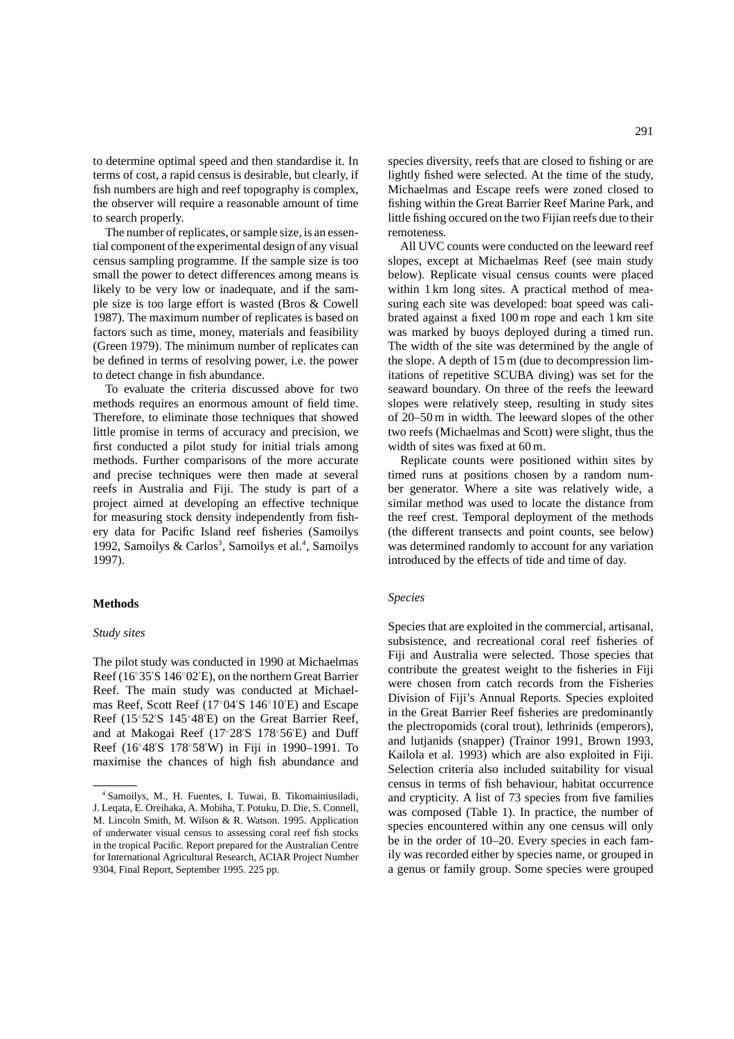to determine optimal speed and then standardise it. In terms of cost, a rapid census is desirable, but clearly, if fish numbers are high and reef topography is complex, the observer will require a reasonable amount of time to search properly.

The number of replicates, or sample size, is an essential component of the experimental design of any visual census sampling programme. If the sample size is too small the power to detect differences among means is likely to be very low or inadequate, and if the sample size is too large effort is wasted (Bros & Cowell 1987). The maximum number of replicates is based on factors such as time, money, materials and feasibility (Green 1979). The minimum number of replicates can be defined in terms of resolving power, i.e. the power to detect change in fish abundance.

To evaluate the criteria discussed above for two methods requires an enormous amount of field time. Therefore, to eliminate those techniques that showed little promise in terms of accuracy and precision, we first conducted a pilot study for initial trials among methods. Further comparisons of the more accurate and precise techniques were then made at several reefs in Australia and Fiji. The study is part of a project aimed at developing an effective technique for measuring stock density independently from fishery data for Pacific Island reef fisheries (Samoilys 1992, Samoilys & Carlos<sup>3</sup>, Samoilys et al.<sup>4</sup>, Samoilys 1997).

## **Methods**

## *Study sites*

The pilot study was conducted in 1990 at Michaelmas Reef (16°35'S 146°02'E), on the northern Great Barrier Reef. The main study was conducted at Michaelmas Reef, Scott Reef (17°04′S 146°10′E) and Escape Reef (15°52′S 145°48′E) on the Great Barrier Reef, and at Makogai Reef  $(17°28'S 178°56'E)$  and Duff Reef (16°48′S 178°58′W) in Fiji in 1990–1991. To maximise the chances of high fish abundance and species diversity, reefs that are closed to fishing or are lightly fished were selected. At the time of the study, Michaelmas and Escape reefs were zoned closed to fishing within the Great Barrier Reef Marine Park, and little fishing occured on the two Fijian reefs due to their remoteness.

All UVC counts were conducted on the leeward reef slopes, except at Michaelmas Reef (see main study below). Replicate visual census counts were placed within 1 km long sites. A practical method of measuring each site was developed: boat speed was calibrated against a fixed 100 m rope and each 1 km site was marked by buoys deployed during a timed run. The width of the site was determined by the angle of the slope. A depth of 15 m (due to decompression limitations of repetitive SCUBA diving) was set for the seaward boundary. On three of the reefs the leeward slopes were relatively steep, resulting in study sites of 20–50 m in width. The leeward slopes of the other two reefs (Michaelmas and Scott) were slight, thus the width of sites was fixed at 60 m.

Replicate counts were positioned within sites by timed runs at positions chosen by a random number generator. Where a site was relatively wide, a similar method was used to locate the distance from the reef crest. Temporal deployment of the methods (the different transects and point counts, see below) was determined randomly to account for any variation introduced by the effects of tide and time of day.

## *Species*

Species that are exploited in the commercial, artisanal, subsistence, and recreational coral reef fisheries of Fiji and Australia were selected. Those species that contribute the greatest weight to the fisheries in Fiji were chosen from catch records from the Fisheries Division of Fiji's Annual Reports. Species exploited in the Great Barrier Reef fisheries are predominantly the plectropomids (coral trout), lethrinids (emperors), and lutjanids (snapper) (Trainor 1991, Brown 1993, Kailola et al. 1993) which are also exploited in Fiji. Selection criteria also included suitability for visual census in terms of fish behaviour, habitat occurrence and crypticity. A list of 73 species from five families was composed (Table 1). In practice, the number of species encountered within any one census will only be in the order of 10–20. Every species in each family was recorded either by species name, or grouped in a genus or family group. Some species were grouped

<sup>4</sup> Samoilys, M., H. Fuentes, I. Tuwai, B. Tikomainiusiladi, J. Leqata, E. Oreihaka, A. Mobiha, T. Potuku, D. Die, S. Connell, M. Lincoln Smith, M. Wilson & R. Watson. 1995. Application of underwater visual census to assessing coral reef fish stocks in the tropical Pacific. Report prepared for the Australian Centre for International Agricultural Research, ACIAR Project Number 9304, Final Report, September 1995. 225 pp.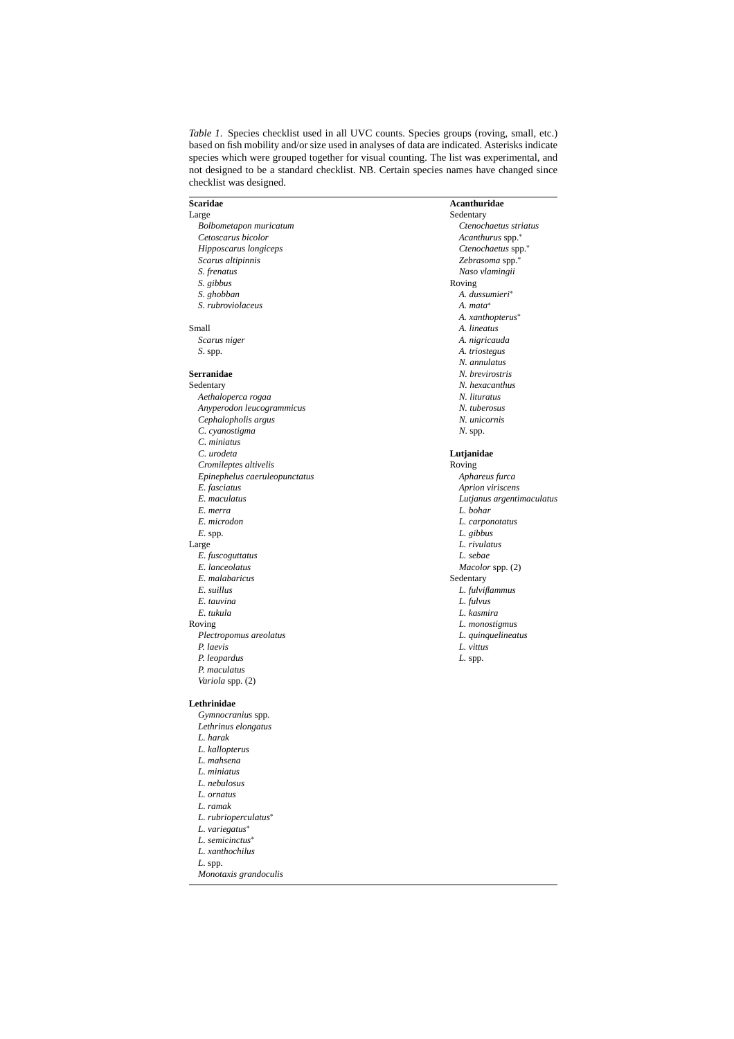*Table 1*. Species checklist used in all UVC counts. Species groups (roving, small, etc.) based on fish mobility and/or size used in analyses of data are indicated. Asterisks indicate species which were grouped together for visual counting. The list was experimental, and not designed to be a standard checklist. NB. Certain species names have changed since checklist was designed.

| Scaridae<br>Large                                                                                                                                                                                           | Acanthuridae<br>Sedentary    |
|-------------------------------------------------------------------------------------------------------------------------------------------------------------------------------------------------------------|------------------------------|
| Bolbometapon muricatum                                                                                                                                                                                      | Ctenochaetus striatus        |
| Cetoscarus bicolor                                                                                                                                                                                          | Acanthurus spp.*             |
| Hipposcarus longiceps                                                                                                                                                                                       | Ctenochaetus spp.*           |
| Scarus altipinnis                                                                                                                                                                                           | Zebrasoma spp.*              |
| S. frenatus                                                                                                                                                                                                 | Naso vlamingii               |
| S. gibbus                                                                                                                                                                                                   | Roving                       |
| S. ghobban                                                                                                                                                                                                  | A. dussumieri*               |
| S. rubroviolaceus                                                                                                                                                                                           | A. mata*                     |
|                                                                                                                                                                                                             | A. xanthopterus*             |
| Small                                                                                                                                                                                                       | A. lineatus                  |
| Scarus niger                                                                                                                                                                                                | A. nigricauda                |
| S. spp.                                                                                                                                                                                                     | A. triostegus                |
|                                                                                                                                                                                                             | N. annulatus                 |
| Serranidae                                                                                                                                                                                                  | N. brevirostris              |
| Sedentary                                                                                                                                                                                                   | N. hexacanthus               |
| Aethaloperca rogaa                                                                                                                                                                                          | N. lituratus                 |
| Anyperodon leucogrammicus                                                                                                                                                                                   | N. tuberosus                 |
| Cephalopholis argus                                                                                                                                                                                         | N. unicornis                 |
| C. cyanostigma                                                                                                                                                                                              | $N$ . spp.                   |
| $C.$ miniatus                                                                                                                                                                                               |                              |
| C. urodeta                                                                                                                                                                                                  | Lutjanidae                   |
| Cromileptes altivelis                                                                                                                                                                                       | Roving                       |
| Epinephelus caeruleopunctatus                                                                                                                                                                               | Aphareus furca               |
| E. fasciatus                                                                                                                                                                                                | Aprion viriscens             |
| E. maculatus                                                                                                                                                                                                | Lutjanus argentimaculatus    |
| E. merra<br>E. microdon                                                                                                                                                                                     | L. bohar                     |
| $E$ . spp.                                                                                                                                                                                                  | L. carponotatus<br>L. gibbus |
| Large                                                                                                                                                                                                       | L. rivulatus                 |
| E. fuscoguttatus                                                                                                                                                                                            | L. sebae                     |
| E. lanceolatus                                                                                                                                                                                              | Macolor spp. (2)             |
| E. malabaricus                                                                                                                                                                                              | Sedentary                    |
| E. suillus                                                                                                                                                                                                  | L. fulviflammus              |
| E. tauvina                                                                                                                                                                                                  | L. fulvus                    |
| E. tukula                                                                                                                                                                                                   | L. kasmira                   |
| Roving                                                                                                                                                                                                      | L. monostigmus               |
| Plectropomus areolatus                                                                                                                                                                                      | L. quinquelineatus           |
| P. laevis                                                                                                                                                                                                   | L. vittus                    |
| P. leopardus                                                                                                                                                                                                | L. spp.                      |
| P. maculatus                                                                                                                                                                                                |                              |
| Variola spp. (2)                                                                                                                                                                                            |                              |
|                                                                                                                                                                                                             |                              |
|                                                                                                                                                                                                             |                              |
|                                                                                                                                                                                                             |                              |
|                                                                                                                                                                                                             |                              |
|                                                                                                                                                                                                             |                              |
|                                                                                                                                                                                                             |                              |
|                                                                                                                                                                                                             |                              |
|                                                                                                                                                                                                             |                              |
| L. ornatus                                                                                                                                                                                                  |                              |
|                                                                                                                                                                                                             |                              |
|                                                                                                                                                                                                             |                              |
|                                                                                                                                                                                                             |                              |
|                                                                                                                                                                                                             |                              |
| L. xanthochilus                                                                                                                                                                                             |                              |
| L. spp.                                                                                                                                                                                                     |                              |
| Monotaxis grandoculis                                                                                                                                                                                       |                              |
| Lethrinidae<br>Gymnocranius spp.<br>Lethrinus elongatus<br>L. harak<br>L. kallopterus<br>L. mahsena<br>L. miniatus<br>L. nebulosus<br>L. ramak<br>L. rubrioperculatus*<br>L. variegatus*<br>L. semicinctus* |                              |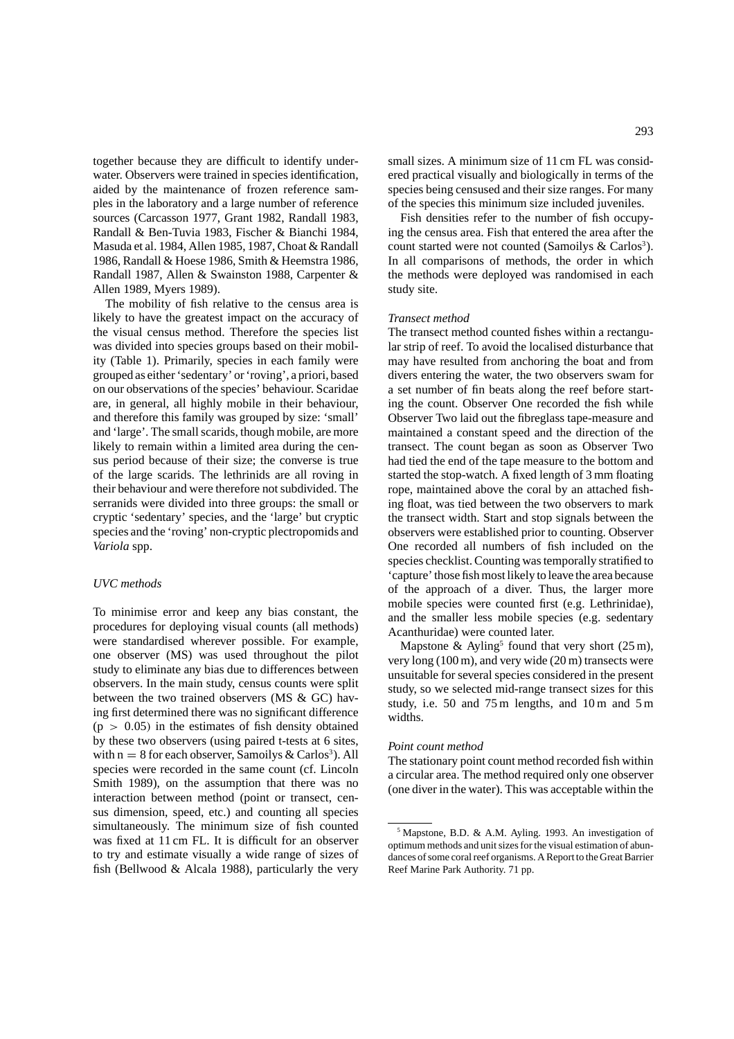together because they are difficult to identify underwater. Observers were trained in species identification, aided by the maintenance of frozen reference samples in the laboratory and a large number of reference sources (Carcasson 1977, Grant 1982, Randall 1983, Randall & Ben-Tuvia 1983, Fischer & Bianchi 1984, Masuda et al. 1984, Allen 1985, 1987, Choat & Randall 1986, Randall & Hoese 1986, Smith & Heemstra 1986, Randall 1987, Allen & Swainston 1988, Carpenter & Allen 1989, Myers 1989).

The mobility of fish relative to the census area is likely to have the greatest impact on the accuracy of the visual census method. Therefore the species list was divided into species groups based on their mobility (Table 1). Primarily, species in each family were grouped as either 'sedentary' or 'roving', a priori, based on our observations of the species' behaviour. Scaridae are, in general, all highly mobile in their behaviour, and therefore this family was grouped by size: 'small' and 'large'. The small scarids, though mobile, are more likely to remain within a limited area during the census period because of their size; the converse is true of the large scarids. The lethrinids are all roving in their behaviour and were therefore not subdivided. The serranids were divided into three groups: the small or cryptic 'sedentary' species, and the 'large' but cryptic species and the 'roving' non-cryptic plectropomids and *Variola* spp.

## *UVC methods*

To minimise error and keep any bias constant, the procedures for deploying visual counts (all methods) were standardised wherever possible. For example, one observer (MS) was used throughout the pilot study to eliminate any bias due to differences between observers. In the main study, census counts were split between the two trained observers (MS & GC) having first determined there was no significant difference  $(p > 0.05)$  in the estimates of fish density obtained by these two observers (using paired t-tests at 6 sites, with  $n = 8$  for each observer, Samoilys & Carlos<sup>3</sup>). All species were recorded in the same count (cf. Lincoln Smith 1989), on the assumption that there was no interaction between method (point or transect, census dimension, speed, etc.) and counting all species simultaneously. The minimum size of fish counted was fixed at 11 cm FL. It is difficult for an observer to try and estimate visually a wide range of sizes of fish (Bellwood & Alcala 1988), particularly the very small sizes. A minimum size of 11 cm FL was considered practical visually and biologically in terms of the species being censused and their size ranges. For many of the species this minimum size included juveniles.

Fish densities refer to the number of fish occupying the census area. Fish that entered the area after the count started were not counted (Samoilys & Carlos<sup>3</sup>). In all comparisons of methods, the order in which the methods were deployed was randomised in each study site.

#### *Transect method*

The transect method counted fishes within a rectangular strip of reef. To avoid the localised disturbance that may have resulted from anchoring the boat and from divers entering the water, the two observers swam for a set number of fin beats along the reef before starting the count. Observer One recorded the fish while Observer Two laid out the fibreglass tape-measure and maintained a constant speed and the direction of the transect. The count began as soon as Observer Two had tied the end of the tape measure to the bottom and started the stop-watch. A fixed length of 3 mm floating rope, maintained above the coral by an attached fishing float, was tied between the two observers to mark the transect width. Start and stop signals between the observers were established prior to counting. Observer One recorded all numbers of fish included on the species checklist. Counting was temporally stratified to 'capture' those fish most likely to leave the area because of the approach of a diver. Thus, the larger more mobile species were counted first (e.g. Lethrinidae), and the smaller less mobile species (e.g. sedentary Acanthuridae) were counted later.

Mapstone & Ayling<sup>5</sup> found that very short  $(25 \text{ m})$ , very long (100 m), and very wide (20 m) transects were unsuitable for several species considered in the present study, so we selected mid-range transect sizes for this study, i.e. 50 and  $75 \text{ m}$  lengths, and  $10 \text{ m}$  and  $5 \text{ m}$ widths.

#### *Point count method*

The stationary point count method recorded fish within a circular area. The method required only one observer (one diver in the water). This was acceptable within the

<sup>5</sup> Mapstone, B.D. & A.M. Ayling. 1993. An investigation of optimum methods and unit sizes for the visual estimation of abundances of some coral reef organisms. A Report to the Great Barrier Reef Marine Park Authority. 71 pp.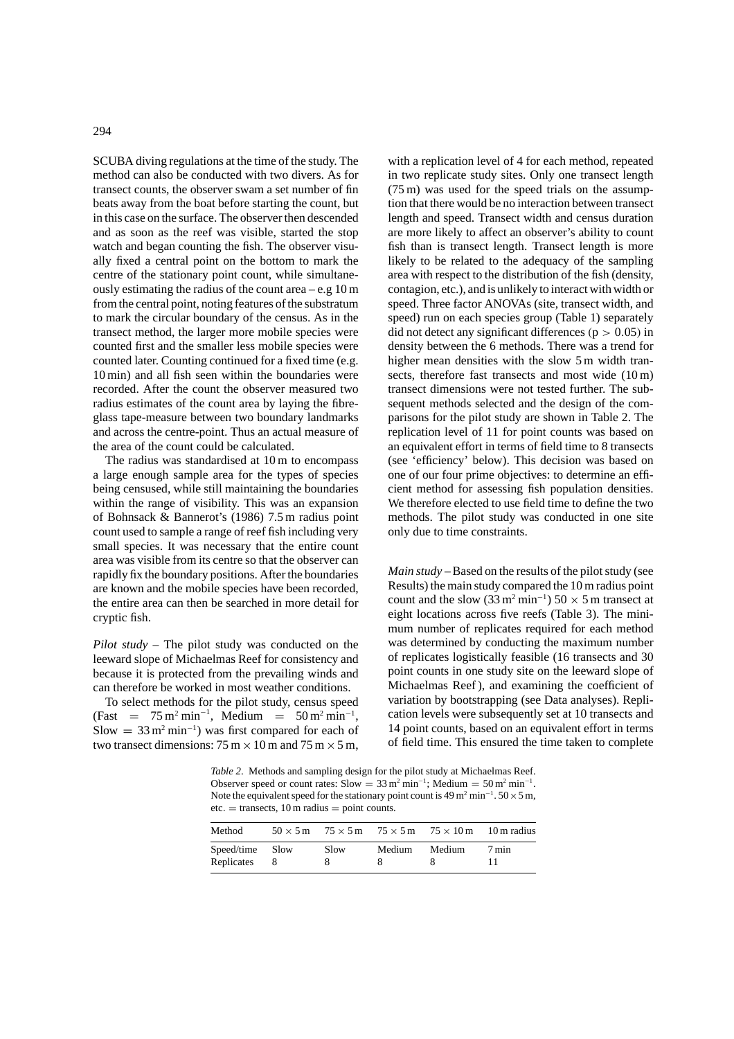SCUBA diving regulations at the time of the study. The method can also be conducted with two divers. As for transect counts, the observer swam a set number of fin beats away from the boat before starting the count, but in this case on the surface. The observer then descended and as soon as the reef was visible, started the stop watch and began counting the fish. The observer visually fixed a central point on the bottom to mark the centre of the stationary point count, while simultaneously estimating the radius of the count area – e.g 10 m from the central point, noting features of the substratum to mark the circular boundary of the census. As in the transect method, the larger more mobile species were counted first and the smaller less mobile species were counted later. Counting continued for a fixed time (e.g. 10 min) and all fish seen within the boundaries were recorded. After the count the observer measured two radius estimates of the count area by laying the fibreglass tape-measure between two boundary landmarks and across the centre-point. Thus an actual measure of the area of the count could be calculated.

The radius was standardised at 10 m to encompass a large enough sample area for the types of species being censused, while still maintaining the boundaries within the range of visibility. This was an expansion of Bohnsack & Bannerot's (1986) 7.5 m radius point count used to sample a range of reef fish including very small species. It was necessary that the entire count area was visible from its centre so that the observer can rapidly fix the boundary positions. After the boundaries are known and the mobile species have been recorded, the entire area can then be searched in more detail for cryptic fish.

*Pilot study* – The pilot study was conducted on the leeward slope of Michaelmas Reef for consistency and because it is protected from the prevailing winds and can therefore be worked in most weather conditions.

To select methods for the pilot study, census speed  $(Fast = 75 \text{ m}^2 \text{ min}^{-1}, \text{ Medium} = 50 \text{ m}^2 \text{ min}^{-1},$ Slow =  $33 \text{ m}^2 \text{ min}^{-1}$ ) was first compared for each of two transect dimensions:  $75 \text{ m} \times 10 \text{ m}$  and  $75 \text{ m} \times 5 \text{ m}$ , with a replication level of 4 for each method, repeated in two replicate study sites. Only one transect length (75 m) was used for the speed trials on the assumption that there would be no interaction between transect length and speed. Transect width and census duration are more likely to affect an observer's ability to count fish than is transect length. Transect length is more likely to be related to the adequacy of the sampling area with respect to the distribution of the fish (density, contagion, etc.), and is unlikely to interact with width or speed. Three factor ANOVAs (site, transect width, and speed) run on each species group (Table 1) separately did not detect any significant differences ( $p > 0.05$ ) in density between the 6 methods. There was a trend for higher mean densities with the slow 5 m width transects, therefore fast transects and most wide (10 m) transect dimensions were not tested further. The subsequent methods selected and the design of the comparisons for the pilot study are shown in Table 2. The replication level of 11 for point counts was based on an equivalent effort in terms of field time to 8 transects (see 'efficiency' below). This decision was based on one of our four prime objectives: to determine an efficient method for assessing fish population densities. We therefore elected to use field time to define the two methods. The pilot study was conducted in one site only due to time constraints.

*Main study* – Based on the results of the pilot study (see Results) the main study compared the 10 m radius point count and the slow  $(33 \text{ m}^2 \text{ min}^{-1})$   $50 \times 5 \text{ m}$  transect at eight locations across five reefs (Table 3). The minimum number of replicates required for each method was determined by conducting the maximum number of replicates logistically feasible (16 transects and 30 point counts in one study site on the leeward slope of Michaelmas Reef ), and examining the coefficient of variation by bootstrapping (see Data analyses). Replication levels were subsequently set at 10 transects and 14 point counts, based on an equivalent effort in terms of field time. This ensured the time taken to complete

*Table 2*. Methods and sampling design for the pilot study at Michaelmas Reef. Observer speed or count rates: Slow =  $33 \text{ m}^2 \text{ min}^{-1}$ ; Medium =  $50 \text{ m}^2 \text{ min}^{-1}$ . Note the equivalent speed for the stationary point count is 49 m<sup>2</sup> min<sup>-1</sup>. 50 × 5 m,  $etc. = \text{transects}, 10 \text{ m} \text{ radius} = \text{point} \text{ counts}.$ 

| Method                        |            |        | $50 \times 5$ m $75 \times 5$ m $75 \times 5$ m $75 \times 10$ m 10 m radius |       |
|-------------------------------|------------|--------|------------------------------------------------------------------------------|-------|
| Speed/time Slow<br>Replicates | Slow<br>x. | Medium | Medium                                                                       | 7 min |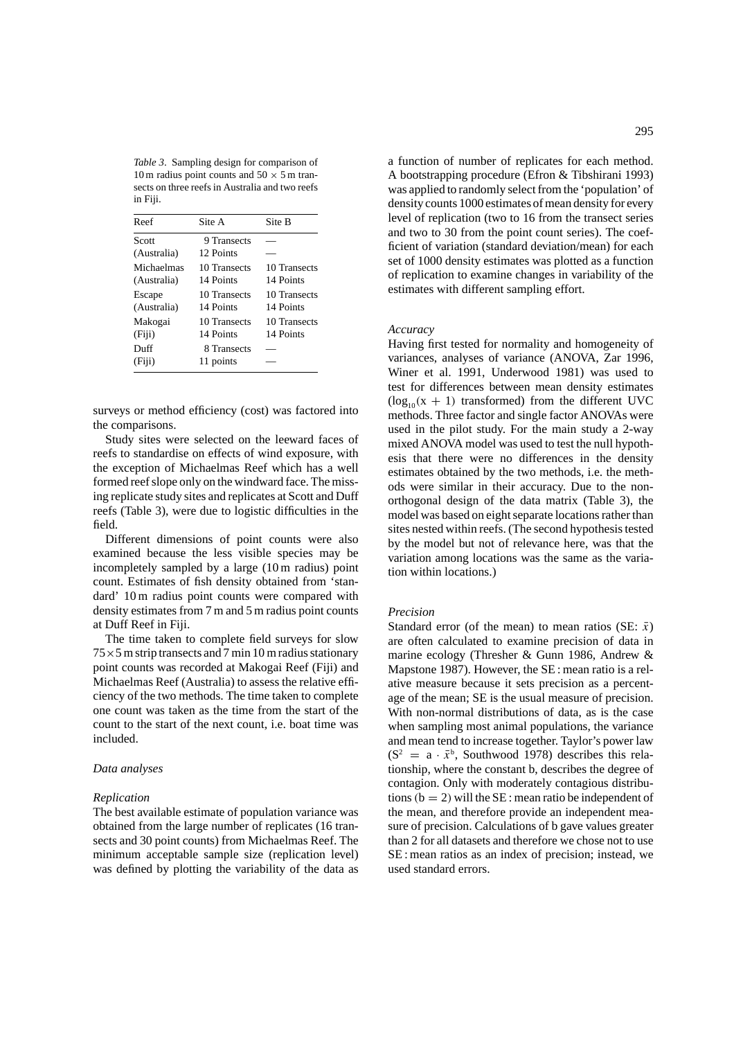*Table 3*. Sampling design for comparison of 10 m radius point counts and  $50 \times 5$  m transects on three reefs in Australia and two reefs in Fiji.

| Reef                 | Site A                   | Site B       |
|----------------------|--------------------------|--------------|
| Scott<br>(Australia) | 9 Transects<br>12 Points |              |
| Michaelmas           | 10 Transects             | 10 Transects |
| (Australia)          | 14 Points                | 14 Points    |
| Escape               | 10 Transects             | 10 Transects |
| (Australia)          | 14 Points                | 14 Points    |
| Makogai              | 10 Transects             | 10 Transects |
| (Fiii)               | 14 Points                | 14 Points    |
| Duff<br>(Fiii)       | 8 Transects<br>11 points |              |

surveys or method efficiency (cost) was factored into the comparisons.

Study sites were selected on the leeward faces of reefs to standardise on effects of wind exposure, with the exception of Michaelmas Reef which has a well formed reef slope only on the windward face. The missing replicate study sites and replicates at Scott and Duff reefs (Table 3), were due to logistic difficulties in the field.

Different dimensions of point counts were also examined because the less visible species may be incompletely sampled by a large (10 m radius) point count. Estimates of fish density obtained from 'standard' 10 m radius point counts were compared with density estimates from 7 m and 5 m radius point counts at Duff Reef in Fiji.

The time taken to complete field surveys for slow  $75 \times 5$  m strip transects and 7 min 10 m radius stationary point counts was recorded at Makogai Reef (Fiji) and Michaelmas Reef (Australia) to assess the relative efficiency of the two methods. The time taken to complete one count was taken as the time from the start of the count to the start of the next count, i.e. boat time was included.

## *Data analyses*

#### *Replication*

The best available estimate of population variance was obtained from the large number of replicates (16 transects and 30 point counts) from Michaelmas Reef. The minimum acceptable sample size (replication level) was defined by plotting the variability of the data as

a function of number of replicates for each method. A bootstrapping procedure (Efron & Tibshirani 1993) was applied to randomly select from the 'population' of density counts 1000 estimates of mean density for every level of replication (two to 16 from the transect series and two to 30 from the point count series). The coefficient of variation (standard deviation/mean) for each set of 1000 density estimates was plotted as a function of replication to examine changes in variability of the estimates with different sampling effort.

#### *Accuracy*

Having first tested for normality and homogeneity of variances, analyses of variance (ANOVA, Zar 1996, Winer et al. 1991, Underwood 1981) was used to test for differences between mean density estimates  $(\log_{10}(x + 1))$  transformed) from the different UVC methods. Three factor and single factor ANOVAs were used in the pilot study. For the main study a 2-way mixed ANOVA model was used to test the null hypothesis that there were no differences in the density estimates obtained by the two methods, i.e. the methods were similar in their accuracy. Due to the nonorthogonal design of the data matrix (Table 3), the model was based on eight separate locations rather than sites nested within reefs. (The second hypothesis tested by the model but not of relevance here, was that the variation among locations was the same as the variation within locations.)

#### *Precision*

Standard error (of the mean) to mean ratios (SE:  $\bar{x}$ ) are often calculated to examine precision of data in marine ecology (Thresher & Gunn 1986, Andrew & Mapstone 1987). However, the SE : mean ratio is a relative measure because it sets precision as a percentage of the mean; SE is the usual measure of precision. With non-normal distributions of data, as is the case when sampling most animal populations, the variance and mean tend to increase together. Taylor's power law  $(S<sup>2</sup> = a \cdot \bar{x}^{b}$ , Southwood 1978) describes this relationship, where the constant b, describes the degree of contagion. Only with moderately contagious distributions ( $b = 2$ ) will the SE : mean ratio be independent of the mean, and therefore provide an independent measure of precision. Calculations of b gave values greater than 2 for all datasets and therefore we chose not to use SE : mean ratios as an index of precision; instead, we used standard errors.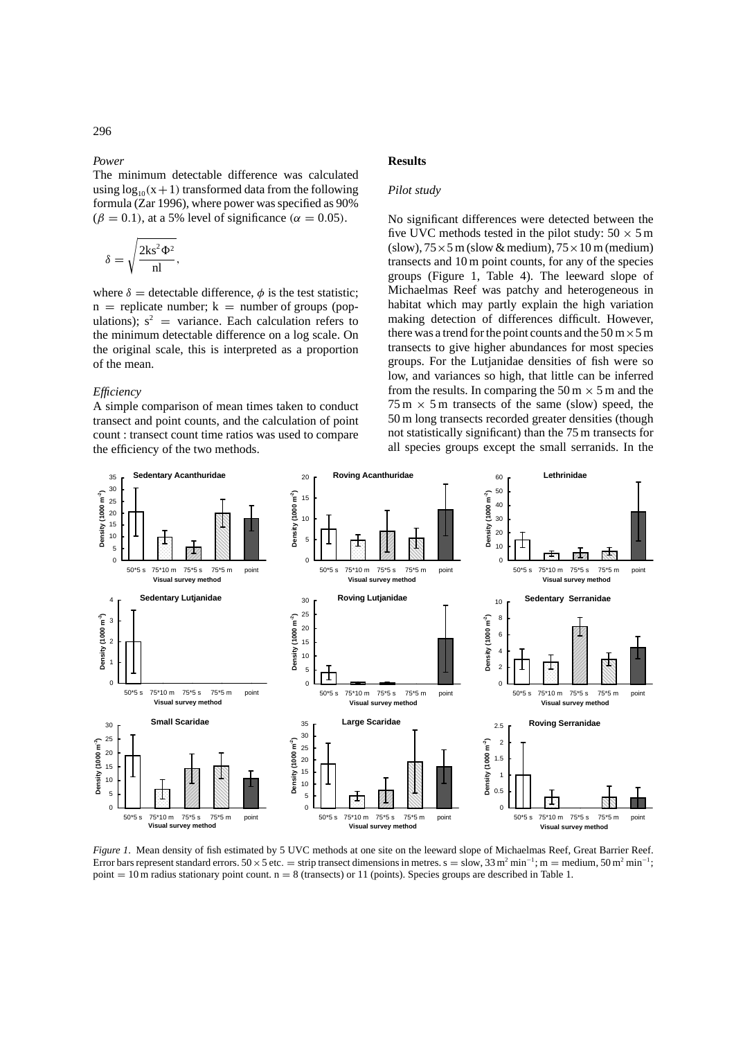# *Power*

The minimum detectable difference was calculated using  $\log_{10}(x+1)$  transformed data from the following formula (Zar 1996), where power was specified as 90%  $(\beta = 0.1)$ , at a 5% level of significance ( $\alpha = 0.05$ ).

$$
\delta = \sqrt{\frac{2 k s^2 \Phi^2}{n l}},
$$

where  $\delta$  = detectable difference,  $\phi$  is the test statistic;  $n =$  replicate number;  $k =$  number of groups (populations);  $s^2$  = variance. Each calculation refers to the minimum detectable difference on a log scale. On the original scale, this is interpreted as a proportion of the mean.

## *Efficiency*

A simple comparison of mean times taken to conduct transect and point counts, and the calculation of point count : transect count time ratios was used to compare the efficiency of the two methods.

## **Results**

#### *Pilot study*

No significant differences were detected between the five UVC methods tested in the pilot study:  $50 \times 5$  m (slow),  $75 \times 5$  m (slow & medium),  $75 \times 10$  m (medium) transects and 10 m point counts, for any of the species groups (Figure 1, Table 4). The leeward slope of Michaelmas Reef was patchy and heterogeneous in habitat which may partly explain the high variation making detection of differences difficult. However, there was a trend for the point counts and the  $50 \text{ m} \times 5 \text{ m}$ transects to give higher abundances for most species groups. For the Lutjanidae densities of fish were so low, and variances so high, that little can be inferred from the results. In comparing the  $50 \text{ m} \times 5 \text{ m}$  and the  $75 \text{ m} \times 5 \text{ m}$  transects of the same (slow) speed, the 50 m long transects recorded greater densities (though not statistically significant) than the 75 m transects for all species groups except the small serranids. In the



*Figure 1*. Mean density of fish estimated by 5 UVC methods at one site on the leeward slope of Michaelmas Reef, Great Barrier Reef. Error bars represent standard errors.  $50 \times 5$  etc. = strip transect dimensions in metres. s = slow,  $33 \text{ m}^2 \text{ min}^{-1}$ ; m = medium,  $50 \text{ m}^2 \text{ min}^{-1}$ ; point  $= 10$  m radius stationary point count.  $n = 8$  (transects) or 11 (points). Species groups are described in Table 1.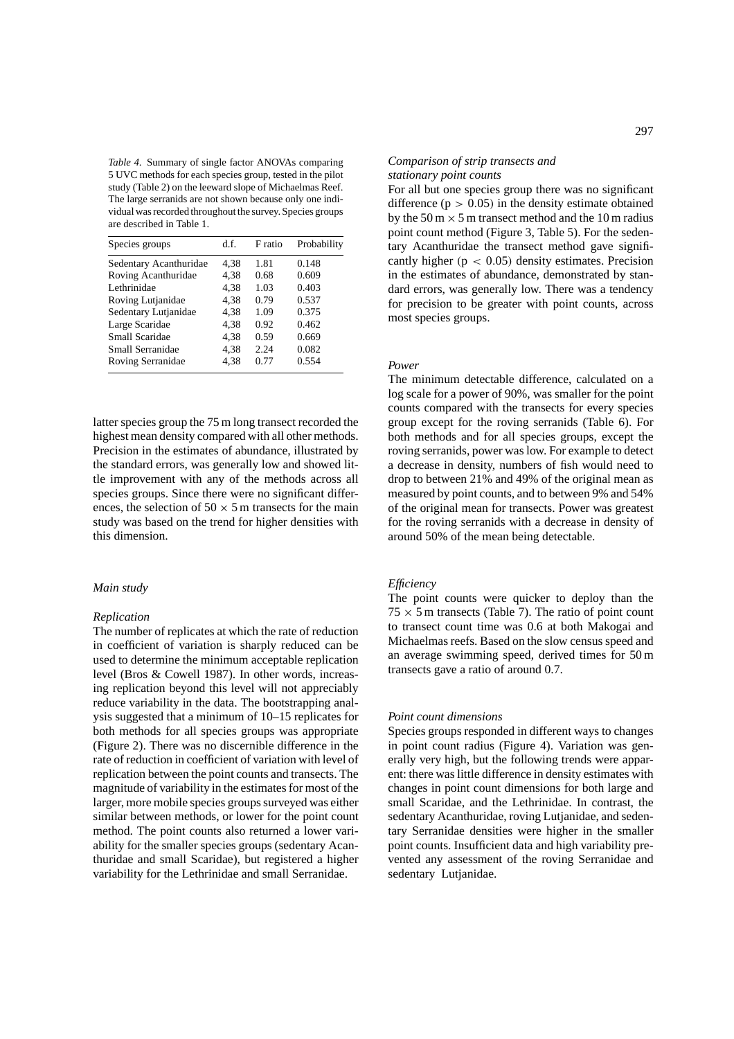*Table 4*. Summary of single factor ANOVAs comparing 5 UVC methods for each species group, tested in the pilot study (Table 2) on the leeward slope of Michaelmas Reef. The large serranids are not shown because only one individual was recorded throughout the survey. Species groups are described in Table 1.

| Species groups         | d.f. | F ratio | Probability |
|------------------------|------|---------|-------------|
| Sedentary Acanthuridae | 4.38 | 1.81    | 0.148       |
| Roving Acanthuridae    | 4,38 | 0.68    | 0.609       |
| Lethrinidae            | 4.38 | 1.03    | 0.403       |
| Roving Lutjanidae      | 4,38 | 0.79    | 0.537       |
| Sedentary Lutjanidae   | 4,38 | 1.09    | 0.375       |
| Large Scaridae         | 4.38 | 0.92    | 0.462       |
| Small Scaridae         | 4,38 | 0.59    | 0.669       |
| Small Serranidae       | 4.38 | 2.24    | 0.082       |
| Roving Serranidae      | 4,38 | 0.77    | 0.554       |

latter species group the 75 m long transect recorded the highest mean density compared with all other methods. Precision in the estimates of abundance, illustrated by the standard errors, was generally low and showed little improvement with any of the methods across all species groups. Since there were no significant differences, the selection of  $50 \times 5$  m transects for the main study was based on the trend for higher densities with this dimension.

#### *Main study*

#### *Replication*

The number of replicates at which the rate of reduction in coefficient of variation is sharply reduced can be used to determine the minimum acceptable replication level (Bros & Cowell 1987). In other words, increasing replication beyond this level will not appreciably reduce variability in the data. The bootstrapping analysis suggested that a minimum of 10–15 replicates for both methods for all species groups was appropriate (Figure 2). There was no discernible difference in the rate of reduction in coefficient of variation with level of replication between the point counts and transects. The magnitude of variability in the estimates for most of the larger, more mobile species groups surveyed was either similar between methods, or lower for the point count method. The point counts also returned a lower variability for the smaller species groups (sedentary Acanthuridae and small Scaridae), but registered a higher variability for the Lethrinidae and small Serranidae.

# *Comparison of strip transects and stationary point counts*

For all but one species group there was no significant difference  $(p > 0.05)$  in the density estimate obtained by the  $50 \text{ m} \times 5 \text{ m}$  transect method and the 10 m radius point count method (Figure 3, Table 5). For the sedentary Acanthuridae the transect method gave significantly higher ( $p < 0.05$ ) density estimates. Precision in the estimates of abundance, demonstrated by standard errors, was generally low. There was a tendency for precision to be greater with point counts, across most species groups.

### *Power*

The minimum detectable difference, calculated on a log scale for a power of 90%, was smaller for the point counts compared with the transects for every species group except for the roving serranids (Table 6). For both methods and for all species groups, except the roving serranids, power was low. For example to detect a decrease in density, numbers of fish would need to drop to between 21% and 49% of the original mean as measured by point counts, and to between 9% and 54% of the original mean for transects. Power was greatest for the roving serranids with a decrease in density of around 50% of the mean being detectable.

## *Efficiency*

The point counts were quicker to deploy than the  $75 \times 5$  m transects (Table 7). The ratio of point count to transect count time was 0.6 at both Makogai and Michaelmas reefs. Based on the slow census speed and an average swimming speed, derived times for 50 m transects gave a ratio of around 0.7.

#### *Point count dimensions*

Species groups responded in different ways to changes in point count radius (Figure 4). Variation was generally very high, but the following trends were apparent: there was little difference in density estimates with changes in point count dimensions for both large and small Scaridae, and the Lethrinidae. In contrast, the sedentary Acanthuridae, roving Lutjanidae, and sedentary Serranidae densities were higher in the smaller point counts. Insufficient data and high variability prevented any assessment of the roving Serranidae and sedentary Lutjanidae.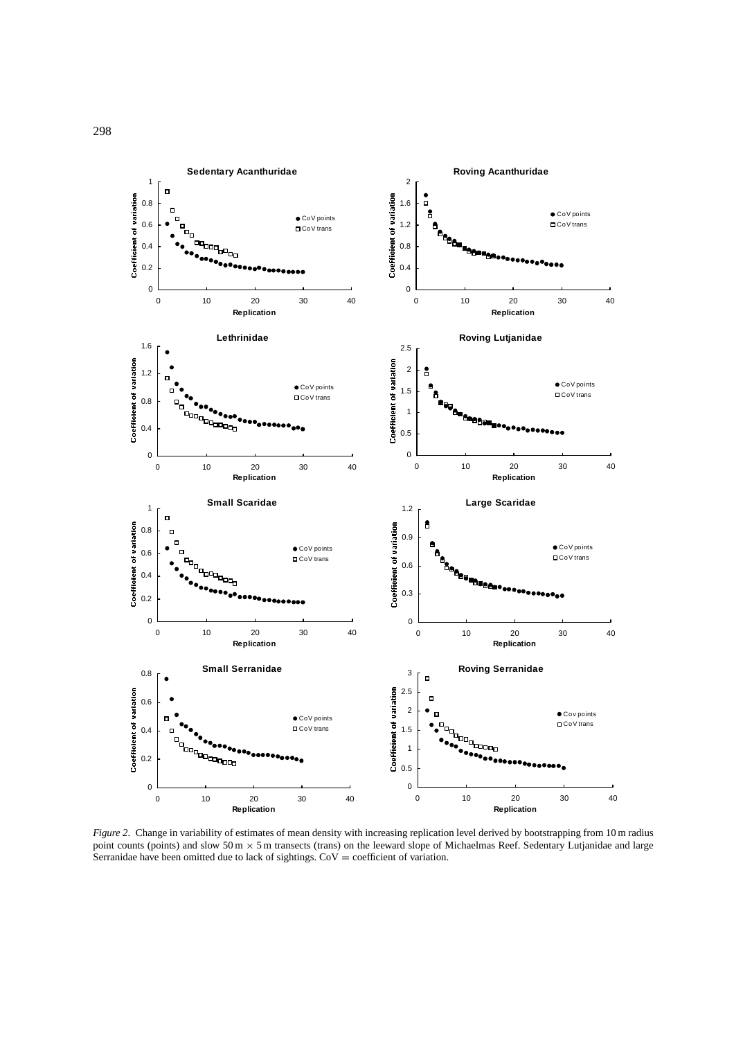

*Figure 2*. Change in variability of estimates of mean density with increasing replication level derived by bootstrapping from 10 m radius point counts (points) and slow  $50 \text{ m} \times 5 \text{ m}$  transects (trans) on the leeward slope of Michaelmas Reef. Sedentary Lutjanidae and large Serranidae have been omitted due to lack of sightings.  $\text{CoV} = \text{coefficient}$  of variation.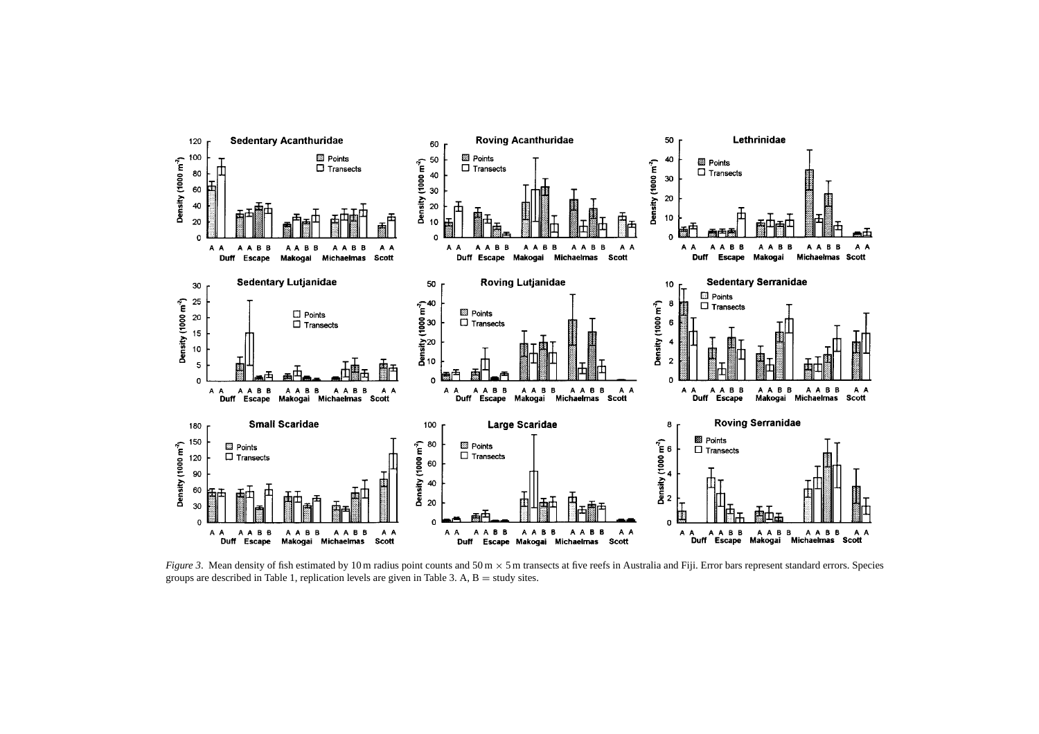

*Figure* 3. Mean density of fish estimated by 10 m radius point counts and 50 m  $\times$  5 m transects at five reefs in Australia and Fiji. Error bars represent standard errors. Species groups are described in Table 1, replication levels are given in Table 3. A,  $B =$  study sites.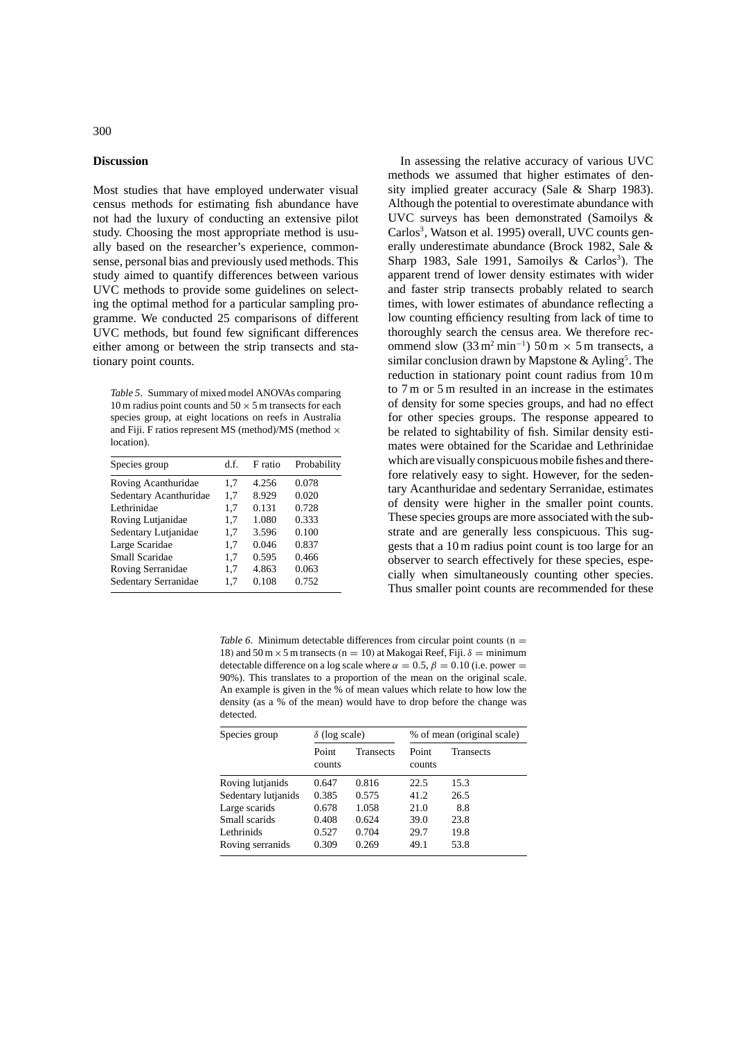**Discussion**

Most studies that have employed underwater visual census methods for estimating fish abundance have not had the luxury of conducting an extensive pilot study. Choosing the most appropriate method is usually based on the researcher's experience, commonsense, personal bias and previously used methods. This study aimed to quantify differences between various UVC methods to provide some guidelines on selecting the optimal method for a particular sampling programme. We conducted 25 comparisons of different UVC methods, but found few significant differences either among or between the strip transects and stationary point counts.

*Table 5*. Summary of mixed model ANOVAs comparing 10 m radius point counts and  $50 \times 5$  m transects for each species group, at eight locations on reefs in Australia and Fiji. F ratios represent MS (method)/MS (method  $\times$ location).

| Species group          | d.f. | F ratio | Probability |
|------------------------|------|---------|-------------|
| Roving Acanthuridae    | 1,7  | 4.256   | 0.078       |
| Sedentary Acanthuridae | 1,7  | 8.929   | 0.020       |
| Lethrinidae            | 1,7  | 0.131   | 0.728       |
| Roving Lutjanidae      | 1,7  | 1.080   | 0.333       |
| Sedentary Lutjanidae   | 1,7  | 3.596   | 0.100       |
| Large Scaridae         | 1,7  | 0.046   | 0.837       |
| Small Scaridae         | 1,7  | 0.595   | 0.466       |
| Roving Serranidae      | 1,7  | 4.863   | 0.063       |
| Sedentary Serranidae   | 1,7  | 0.108   | 0.752       |

In assessing the relative accuracy of various UVC methods we assumed that higher estimates of density implied greater accuracy (Sale & Sharp 1983). Although the potential to overestimate abundance with UVC surveys has been demonstrated (Samoilys & Carlos<sup>3</sup>, Watson et al. 1995) overall, UVC counts generally underestimate abundance (Brock 1982, Sale & Sharp 1983, Sale 1991, Samoilys & Carlos<sup>3</sup>). The apparent trend of lower density estimates with wider and faster strip transects probably related to search times, with lower estimates of abundance reflecting a low counting efficiency resulting from lack of time to thoroughly search the census area. We therefore recommend slow  $(33 \text{ m}^2 \text{ min}^{-1})$  50 m × 5 m transects, a similar conclusion drawn by Mapstone & Ayling<sup>5</sup>. The reduction in stationary point count radius from 10 m to 7 m or 5 m resulted in an increase in the estimates of density for some species groups, and had no effect for other species groups. The response appeared to be related to sightability of fish. Similar density estimates were obtained for the Scaridae and Lethrinidae which are visually conspicuous mobile fishes and therefore relatively easy to sight. However, for the sedentary Acanthuridae and sedentary Serranidae, estimates of density were higher in the smaller point counts. These species groups are more associated with the substrate and are generally less conspicuous. This suggests that a 10 m radius point count is too large for an observer to search effectively for these species, especially when simultaneously counting other species. Thus smaller point counts are recommended for these

*Table 6*. Minimum detectable differences from circular point counts ( $n =$ 18) and 50 m  $\times$  5 m transects (n = 10) at Makogai Reef, Fiji.  $\delta$  = minimum detectable difference on a log scale where  $\alpha = 0.5$ ,  $\beta = 0.10$  (i.e. power = 90%). This translates to a proportion of the mean on the original scale. An example is given in the % of mean values which relate to how low the density (as a % of the mean) would have to drop before the change was detected.

| Species group       | $\delta$ (log scale) |           | % of mean (original scale) |           |  |
|---------------------|----------------------|-----------|----------------------------|-----------|--|
|                     | Point<br>counts      | Transects | Point<br>counts            | Transects |  |
| Roving lutjanids    | 0.647                | 0.816     | 22.5                       | 15.3      |  |
| Sedentary lutjanids | 0.385                | 0.575     | 41.2                       | 26.5      |  |
| Large scarids       | 0.678                | 1.058     | 21.0                       | 8.8       |  |
| Small scarids       | 0.408                | 0.624     | 39.0                       | 23.8      |  |
| Lethrinids          | 0.527                | 0.704     | 29.7                       | 19.8      |  |
| Roving serranids    | 0.309                | 0.269     | 49.1                       | 53.8      |  |

#### 300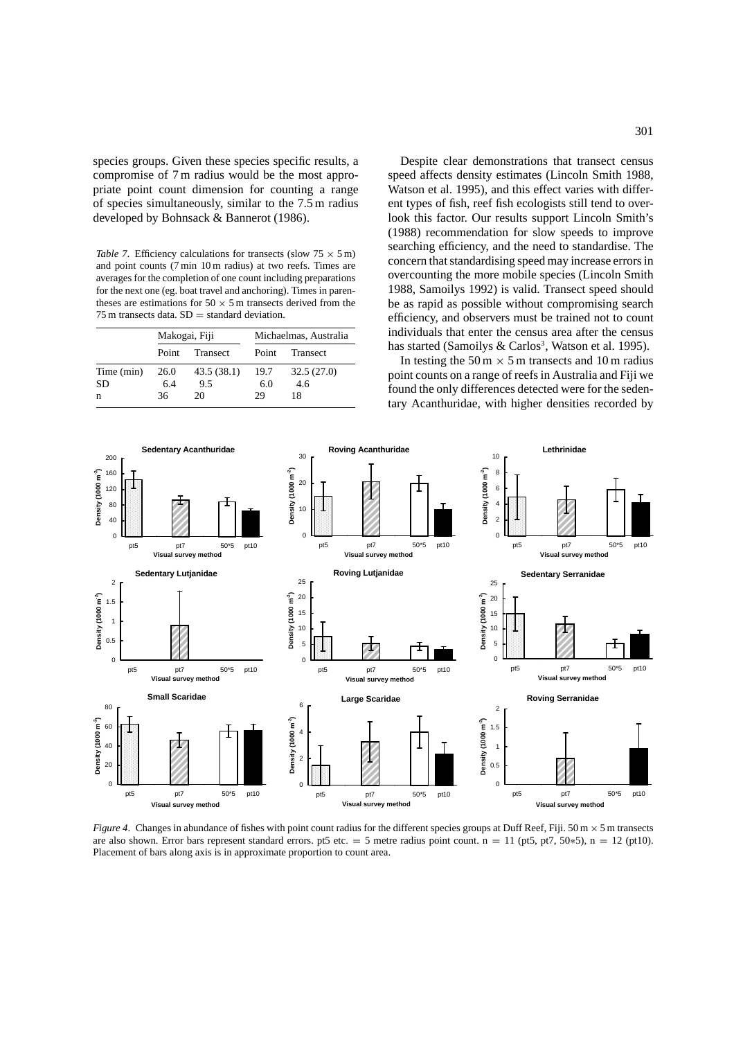species groups. Given these species specific results, a compromise of 7 m radius would be the most appropriate point count dimension for counting a range of species simultaneously, similar to the 7.5 m radius developed by Bohnsack & Bannerot (1986).

*Table 7.* Efficiency calculations for transects (slow  $75 \times 5$  m) and point counts (7 min 10 m radius) at two reefs. Times are averages for the completion of one count including preparations for the next one (eg. boat travel and anchoring). Times in parentheses are estimations for  $50 \times 5$  m transects derived from the  $75$  m transects data.  $SD =$  standard deviation.

|            | Makogai, Fiji |            | Michaelmas, Australia |                 |  |
|------------|---------------|------------|-----------------------|-----------------|--|
|            | Point         | Transect   | Point                 | <b>Transect</b> |  |
| Time (min) | 26.0          | 43.5(38.1) | 19.7                  | 32.5(27.0)      |  |
| SD         | 6.4           | 9.5        | 6.0                   | 4.6             |  |
| n          | 36            | 20         | 29                    | 18              |  |

Despite clear demonstrations that transect census speed affects density estimates (Lincoln Smith 1988, Watson et al. 1995), and this effect varies with different types of fish, reef fish ecologists still tend to overlook this factor. Our results support Lincoln Smith's (1988) recommendation for slow speeds to improve searching efficiency, and the need to standardise. The concern that standardising speed may increase errors in overcounting the more mobile species (Lincoln Smith 1988, Samoilys 1992) is valid. Transect speed should be as rapid as possible without compromising search efficiency, and observers must be trained not to count individuals that enter the census area after the census has started (Samoilys & Carlos<sup>3</sup>, Watson et al. 1995).

In testing the 50 m  $\times$  5 m transects and 10 m radius point counts on a range of reefs in Australia and Fiji we found the only differences detected were for the sedentary Acanthuridae, with higher densities recorded by



*Figure 4.* Changes in abundance of fishes with point count radius for the different species groups at Duff Reef, Fiji. 50 m  $\times$  5 m transects are also shown. Error bars represent standard errors. pt5 etc. = 5 metre radius point count. n = 11 (pt5, pt7, 50\*5), n = 12 (pt10). Placement of bars along axis is in approximate proportion to count area.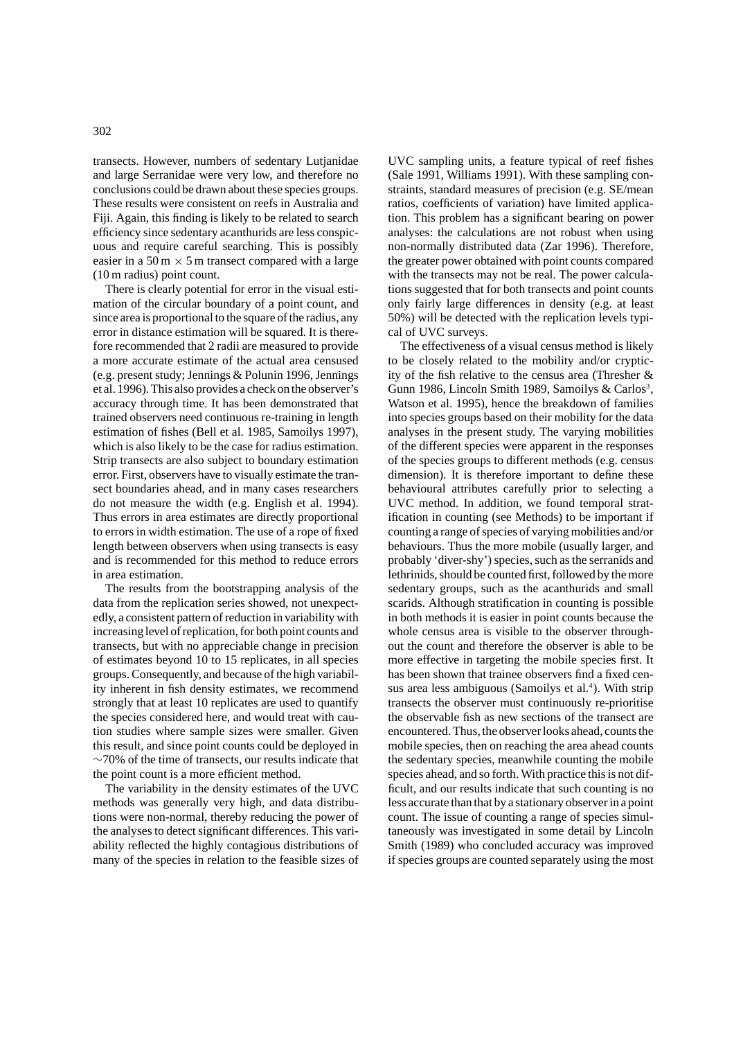transects. However, numbers of sedentary Lutjanidae and large Serranidae were very low, and therefore no conclusions could be drawn about these species groups. These results were consistent on reefs in Australia and Fiji. Again, this finding is likely to be related to search efficiency since sedentary acanthurids are less conspicuous and require careful searching. This is possibly easier in a 50 m  $\times$  5 m transect compared with a large (10 m radius) point count.

There is clearly potential for error in the visual estimation of the circular boundary of a point count, and since area is proportional to the square of the radius, any error in distance estimation will be squared. It is therefore recommended that 2 radii are measured to provide a more accurate estimate of the actual area censused (e.g. present study; Jennings & Polunin 1996, Jennings et al. 1996). This also provides a check on the observer's accuracy through time. It has been demonstrated that trained observers need continuous re-training in length estimation of fishes (Bell et al. 1985, Samoilys 1997), which is also likely to be the case for radius estimation. Strip transects are also subject to boundary estimation error. First, observers have to visually estimate the transect boundaries ahead, and in many cases researchers do not measure the width (e.g. English et al. 1994). Thus errors in area estimates are directly proportional to errors in width estimation. The use of a rope of fixed length between observers when using transects is easy and is recommended for this method to reduce errors in area estimation.

The results from the bootstrapping analysis of the data from the replication series showed, not unexpectedly, a consistent pattern of reduction in variability with increasing level of replication, for both point counts and transects, but with no appreciable change in precision of estimates beyond 10 to 15 replicates, in all species groups. Consequently, and because of the high variability inherent in fish density estimates, we recommend strongly that at least 10 replicates are used to quantify the species considered here, and would treat with caution studies where sample sizes were smaller. Given this result, and since point counts could be deployed in ∼70% of the time of transects, our results indicate that the point count is a more efficient method.

The variability in the density estimates of the UVC methods was generally very high, and data distributions were non-normal, thereby reducing the power of the analyses to detect significant differences. This variability reflected the highly contagious distributions of many of the species in relation to the feasible sizes of

UVC sampling units, a feature typical of reef fishes (Sale 1991, Williams 1991). With these sampling constraints, standard measures of precision (e.g. SE/mean ratios, coefficients of variation) have limited application. This problem has a significant bearing on power analyses: the calculations are not robust when using non-normally distributed data (Zar 1996). Therefore, the greater power obtained with point counts compared with the transects may not be real. The power calculations suggested that for both transects and point counts only fairly large differences in density (e.g. at least 50%) will be detected with the replication levels typical of UVC surveys.

The effectiveness of a visual census method is likely to be closely related to the mobility and/or crypticity of the fish relative to the census area (Thresher & Gunn 1986, Lincoln Smith 1989, Samoilys & Carlos<sup>3</sup>, Watson et al. 1995), hence the breakdown of families into species groups based on their mobility for the data analyses in the present study. The varying mobilities of the different species were apparent in the responses of the species groups to different methods (e.g. census dimension). It is therefore important to define these behavioural attributes carefully prior to selecting a UVC method. In addition, we found temporal stratification in counting (see Methods) to be important if counting a range of species of varying mobilities and/or behaviours. Thus the more mobile (usually larger, and probably 'diver-shy') species, such as the serranids and lethrinids, should be counted first, followed by the more sedentary groups, such as the acanthurids and small scarids. Although stratification in counting is possible in both methods it is easier in point counts because the whole census area is visible to the observer throughout the count and therefore the observer is able to be more effective in targeting the mobile species first. It has been shown that trainee observers find a fixed census area less ambiguous (Samoilys et al.<sup>4</sup>). With strip transects the observer must continuously re-prioritise the observable fish as new sections of the transect are encountered. Thus, the observer looks ahead, counts the mobile species, then on reaching the area ahead counts the sedentary species, meanwhile counting the mobile species ahead, and so forth. With practice this is not difficult, and our results indicate that such counting is no less accurate than that by a stationary observer in a point count. The issue of counting a range of species simultaneously was investigated in some detail by Lincoln Smith (1989) who concluded accuracy was improved if species groups are counted separately using the most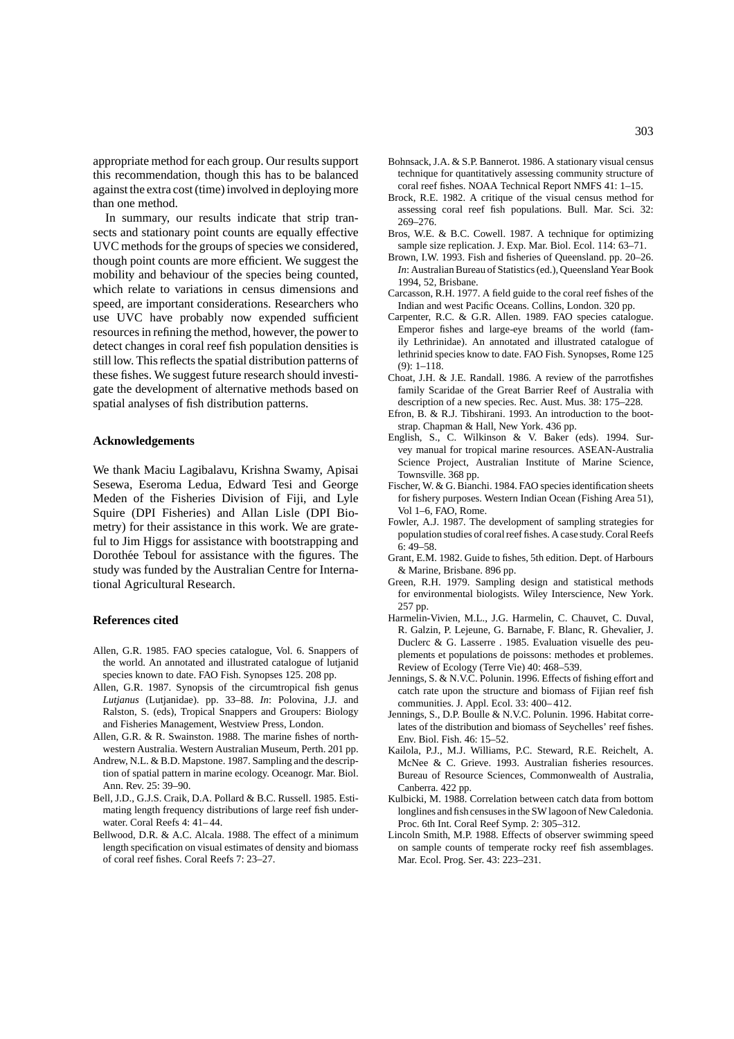appropriate method for each group. Our results support this recommendation, though this has to be balanced against the extra cost (time) involved in deploying more than one method.

In summary, our results indicate that strip transects and stationary point counts are equally effective UVC methods for the groups of species we considered, though point counts are more efficient. We suggest the mobility and behaviour of the species being counted, which relate to variations in census dimensions and speed, are important considerations. Researchers who use UVC have probably now expended sufficient resources in refining the method, however, the power to detect changes in coral reef fish population densities is still low. This reflects the spatial distribution patterns of these fishes. We suggest future research should investigate the development of alternative methods based on spatial analyses of fish distribution patterns.

## **Acknowledgements**

We thank Maciu Lagibalavu, Krishna Swamy, Apisai Sesewa, Eseroma Ledua, Edward Tesi and George Meden of the Fisheries Division of Fiji, and Lyle Squire (DPI Fisheries) and Allan Lisle (DPI Biometry) for their assistance in this work. We are grateful to Jim Higgs for assistance with bootstrapping and Dorothée Teboul for assistance with the figures. The study was funded by the Australian Centre for International Agricultural Research.

#### **References cited**

- Allen, G.R. 1985. FAO species catalogue, Vol. 6. Snappers of the world. An annotated and illustrated catalogue of lutjanid species known to date. FAO Fish. Synopses 125. 208 pp.
- Allen, G.R. 1987. Synopsis of the circumtropical fish genus *Lutjanus* (Lutjanidae). pp. 33–88. *In*: Polovina, J.J. and Ralston, S. (eds), Tropical Snappers and Groupers: Biology and Fisheries Management, Westview Press, London.
- Allen, G.R. & R. Swainston. 1988. The marine fishes of northwestern Australia. Western Australian Museum, Perth. 201 pp.
- Andrew, N.L. & B.D. Mapstone. 1987. Sampling and the description of spatial pattern in marine ecology. Oceanogr. Mar. Biol. Ann. Rev. 25: 39–90.
- Bell, J.D., G.J.S. Craik, D.A. Pollard & B.C. Russell. 1985. Estimating length frequency distributions of large reef fish underwater. Coral Reefs 4: 41– 44.
- Bellwood, D.R. & A.C. Alcala. 1988. The effect of a minimum length specification on visual estimates of density and biomass of coral reef fishes. Coral Reefs 7: 23–27.
- Bohnsack, J.A. & S.P. Bannerot. 1986. A stationary visual census technique for quantitatively assessing community structure of coral reef fishes. NOAA Technical Report NMFS 41: 1–15.
- Brock, R.E. 1982. A critique of the visual census method for assessing coral reef fish populations. Bull. Mar. Sci. 32: 269–276.
- Bros, W.E. & B.C. Cowell. 1987. A technique for optimizing sample size replication. J. Exp. Mar. Biol. Ecol. 114: 63–71.
- Brown, I.W. 1993. Fish and fisheries of Queensland. pp. 20–26. *In*: Australian Bureau of Statistics (ed.), Queensland Year Book 1994, 52, Brisbane.
- Carcasson, R.H. 1977. A field guide to the coral reef fishes of the Indian and west Pacific Oceans. Collins, London. 320 pp.
- Carpenter, R.C. & G.R. Allen. 1989. FAO species catalogue. Emperor fishes and large-eye breams of the world (family Lethrinidae). An annotated and illustrated catalogue of lethrinid species know to date. FAO Fish. Synopses, Rome 125 (9): 1–118.
- Choat, J.H. & J.E. Randall. 1986. A review of the parrotfishes family Scaridae of the Great Barrier Reef of Australia with description of a new species. Rec. Aust. Mus. 38: 175–228.
- Efron, B. & R.J. Tibshirani. 1993. An introduction to the bootstrap. Chapman & Hall, New York. 436 pp.
- English, S., C. Wilkinson & V. Baker (eds). 1994. Survey manual for tropical marine resources. ASEAN-Australia Science Project, Australian Institute of Marine Science, Townsville. 368 pp.
- Fischer, W. & G. Bianchi. 1984. FAO species identification sheets for fishery purposes. Western Indian Ocean (Fishing Area 51), Vol 1–6, FAO, Rome.
- Fowler, A.J. 1987. The development of sampling strategies for population studies of coral reef fishes. A case study. Coral Reefs 6: 49–58.
- Grant, E.M. 1982. Guide to fishes, 5th edition. Dept. of Harbours & Marine, Brisbane. 896 pp.
- Green, R.H. 1979. Sampling design and statistical methods for environmental biologists. Wiley Interscience, New York. 257 pp.
- Harmelin-Vivien, M.L., J.G. Harmelin, C. Chauvet, C. Duval, R. Galzin, P. Lejeune, G. Barnabe, F. Blanc, R. Ghevalier, J. Duclerc & G. Lasserre . 1985. Evaluation visuelle des peuplements et populations de poissons: methodes et problemes. Review of Ecology (Terre Vie) 40: 468–539.
- Jennings, S. & N.V.C. Polunin. 1996. Effects of fishing effort and catch rate upon the structure and biomass of Fijian reef fish communities. J. Appl. Ecol. 33: 400– 412.
- Jennings, S., D.P. Boulle & N.V.C. Polunin. 1996. Habitat correlates of the distribution and biomass of Seychelles' reef fishes. Env. Biol. Fish. 46: 15–52.
- Kailola, P.J., M.J. Williams, P.C. Steward, R.E. Reichelt, A. McNee & C. Grieve. 1993. Australian fisheries resources. Bureau of Resource Sciences, Commonwealth of Australia, Canberra. 422 pp.
- Kulbicki, M. 1988. Correlation between catch data from bottom longlines and fish censuses in the SW lagoon of New Caledonia. Proc. 6th Int. Coral Reef Symp. 2: 305–312.
- Lincoln Smith, M.P. 1988. Effects of observer swimming speed on sample counts of temperate rocky reef fish assemblages. Mar. Ecol. Prog. Ser. 43: 223–231.